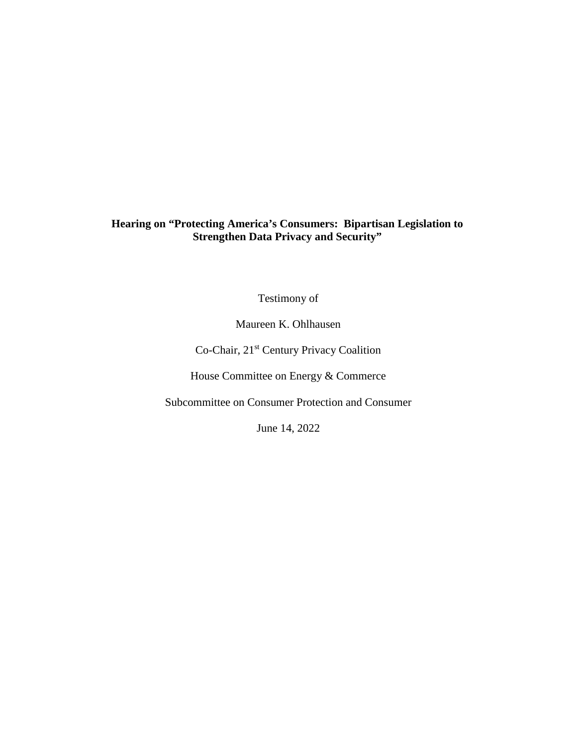# **Hearing on "Protecting America's Consumers: Bipartisan Legislation to Strengthen Data Privacy and Security"**

Testimony of

Maureen K. Ohlhausen

Co-Chair, 21st Century Privacy Coalition

House Committee on Energy & Commerce

Subcommittee on Consumer Protection and Consumer

June 14, 2022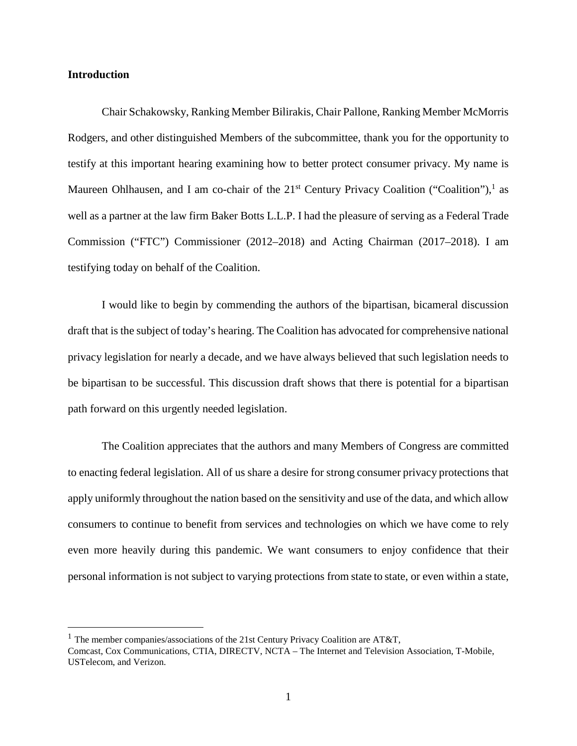# **Introduction**

Chair Schakowsky, Ranking Member Bilirakis, Chair Pallone, Ranking Member McMorris Rodgers, and other distinguished Members of the subcommittee, thank you for the opportunity to testify at this important hearing examining how to better protect consumer privacy. My name is Maureen Ohlhausen, and I am co-chair of the  $21<sup>st</sup>$  $21<sup>st</sup>$  $21<sup>st</sup>$  Century Privacy Coalition ("Coalition"),<sup>1</sup> as well as a partner at the law firm Baker Botts L.L.P. I had the pleasure of serving as a Federal Trade Commission ("FTC") Commissioner (2012–2018) and Acting Chairman (2017–2018). I am testifying today on behalf of the Coalition.

I would like to begin by commending the authors of the bipartisan, bicameral discussion draft that is the subject of today's hearing. The Coalition has advocated for comprehensive national privacy legislation for nearly a decade, and we have always believed that such legislation needs to be bipartisan to be successful. This discussion draft shows that there is potential for a bipartisan path forward on this urgently needed legislation.

The Coalition appreciates that the authors and many Members of Congress are committed to enacting federal legislation. All of us share a desire for strong consumer privacy protections that apply uniformly throughout the nation based on the sensitivity and use of the data, and which allow consumers to continue to benefit from services and technologies on which we have come to rely even more heavily during this pandemic. We want consumers to enjoy confidence that their personal information is not subject to varying protections from state to state, or even within a state,

<span id="page-1-0"></span><sup>&</sup>lt;sup>1</sup> The member companies/associations of the 21st Century Privacy Coalition are AT&T,

Comcast, Cox Communications, CTIA, DIRECTV, NCTA – The Internet and Television Association, T-Mobile, USTelecom, and Verizon.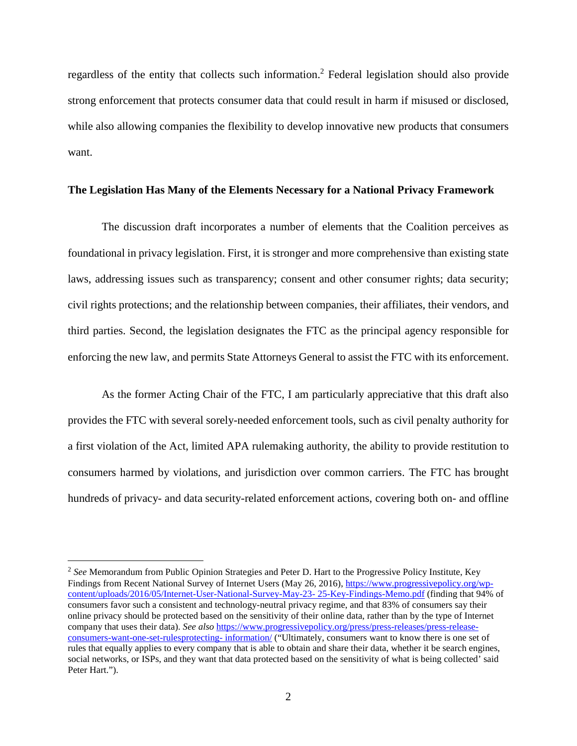regardless of the entity that collects such information.<sup>[2](#page-2-0)</sup> Federal legislation should also provide strong enforcement that protects consumer data that could result in harm if misused or disclosed, while also allowing companies the flexibility to develop innovative new products that consumers want.

### **The Legislation Has Many of the Elements Necessary for a National Privacy Framework**

The discussion draft incorporates a number of elements that the Coalition perceives as foundational in privacy legislation. First, it is stronger and more comprehensive than existing state laws, addressing issues such as transparency; consent and other consumer rights; data security; civil rights protections; and the relationship between companies, their affiliates, their vendors, and third parties. Second, the legislation designates the FTC as the principal agency responsible for enforcing the new law, and permits State Attorneys General to assist the FTC with its enforcement.

As the former Acting Chair of the FTC, I am particularly appreciative that this draft also provides the FTC with several sorely-needed enforcement tools, such as civil penalty authority for a first violation of the Act, limited APA rulemaking authority, the ability to provide restitution to consumers harmed by violations, and jurisdiction over common carriers. The FTC has brought hundreds of privacy- and data security-related enforcement actions, covering both on- and offline

<span id="page-2-0"></span><sup>2</sup> *See* Memorandum from Public Opinion Strategies and Peter D. Hart to the Progressive Policy Institute, Key Findings from Recent National Survey of Internet Users (May 26, 2016), https://www.progressivepolicy.org/wpcontent/uploads/2016/05/Internet-User-National-Survey-May-23- 25-Key-Findings-Memo.pdf (finding that 94% of consumers favor such a consistent and technology-neutral privacy regime, and that 83% of consumers say their online privacy should be protected based on the sensitivity of their online data, rather than by the type of Internet company that uses their data). *See also* https://www.progressivepolicy.org/press/press-releases/press-releaseconsumers-want-one-set-rulesprotecting- information/ ("Ultimately, consumers want to know there is one set of rules that equally applies to every company that is able to obtain and share their data, whether it be search engines, social networks, or ISPs, and they want that data protected based on the sensitivity of what is being collected' said Peter Hart.").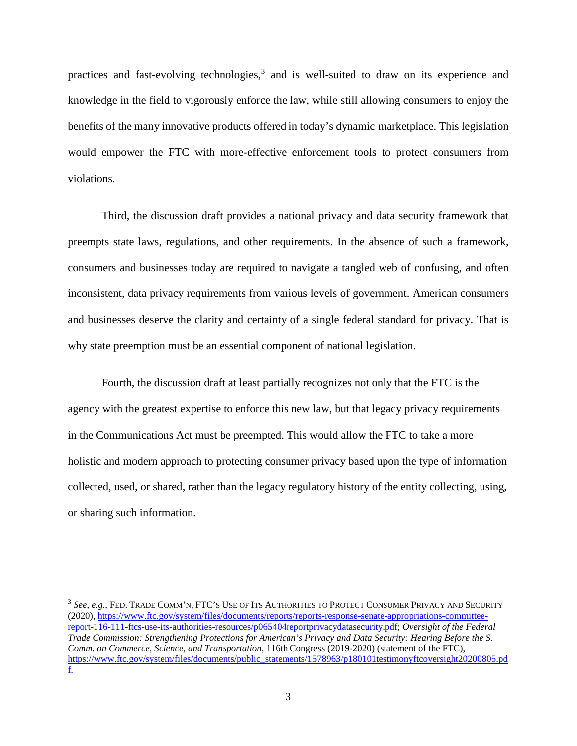practices and fast-evolving technologies,<sup>[3](#page-3-0)</sup> and is well-suited to draw on its experience and knowledge in the field to vigorously enforce the law, while still allowing consumers to enjoy the benefits of the many innovative products offered in today's dynamic marketplace. This legislation would empower the FTC with more-effective enforcement tools to protect consumers from violations.

Third, the discussion draft provides a national privacy and data security framework that preempts state laws, regulations, and other requirements. In the absence of such a framework, consumers and businesses today are required to navigate a tangled web of confusing, and often inconsistent, data privacy requirements from various levels of government. American consumers and businesses deserve the clarity and certainty of a single federal standard for privacy. That is why state preemption must be an essential component of national legislation.

Fourth, the discussion draft at least partially recognizes not only that the FTC is the agency with the greatest expertise to enforce this new law, but that legacy privacy requirements in the Communications Act must be preempted. This would allow the FTC to take a more holistic and modern approach to protecting consumer privacy based upon the type of information collected, used, or shared, rather than the legacy regulatory history of the entity collecting, using, or sharing such information.

<span id="page-3-0"></span><sup>3</sup> *See, e.g.*, FED. TRADE COMM'N, FTC'S USE OF ITS AUTHORITIES TO PROTECT CONSUMER PRIVACY AND SECURITY (2020), https://www.ftc.gov/system/files/documents/reports/reports-response-senate-appropriations-committeereport-116-111-ftcs-use-its-authorities-resources/p065404reportprivacydatasecurity.pdf; *Oversight of the Federal Trade Commission: Strengthening Protections for American's Privacy and Data Security: Hearing Before the S. Comm. on Commerce, Science, and Transportation*, 116th Congress (2019-2020) (statement of the FTC), https://www.ftc.gov/system/files/documents/public\_statements/1578963/p180101testimonyftcoversight20200805.pd f.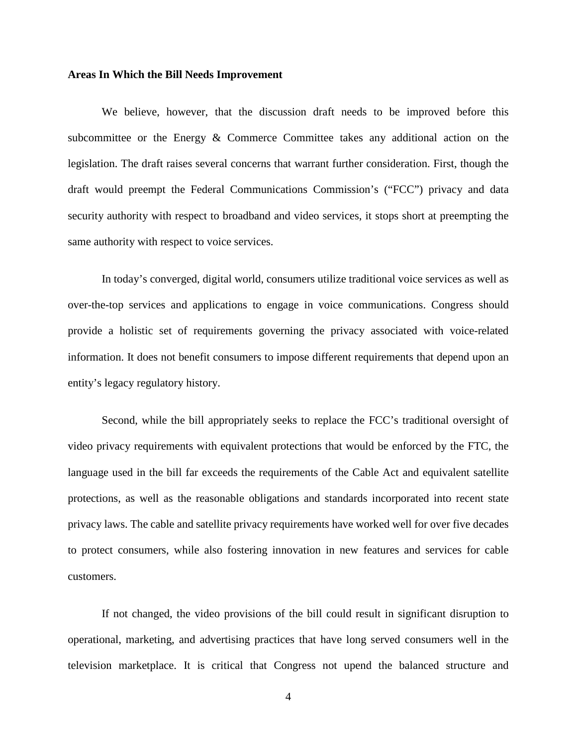#### **Areas In Which the Bill Needs Improvement**

We believe, however, that the discussion draft needs to be improved before this subcommittee or the Energy & Commerce Committee takes any additional action on the legislation. The draft raises several concerns that warrant further consideration. First, though the draft would preempt the Federal Communications Commission's ("FCC") privacy and data security authority with respect to broadband and video services, it stops short at preempting the same authority with respect to voice services.

In today's converged, digital world, consumers utilize traditional voice services as well as over-the-top services and applications to engage in voice communications. Congress should provide a holistic set of requirements governing the privacy associated with voice-related information. It does not benefit consumers to impose different requirements that depend upon an entity's legacy regulatory history.

Second, while the bill appropriately seeks to replace the FCC's traditional oversight of video privacy requirements with equivalent protections that would be enforced by the FTC, the language used in the bill far exceeds the requirements of the Cable Act and equivalent satellite protections, as well as the reasonable obligations and standards incorporated into recent state privacy laws. The cable and satellite privacy requirements have worked well for over five decades to protect consumers, while also fostering innovation in new features and services for cable customers.

If not changed, the video provisions of the bill could result in significant disruption to operational, marketing, and advertising practices that have long served consumers well in the television marketplace. It is critical that Congress not upend the balanced structure and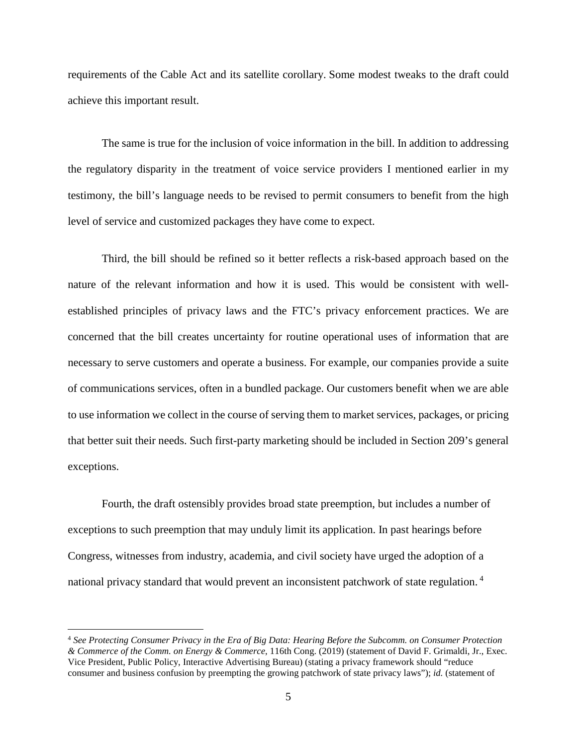requirements of the Cable Act and its satellite corollary. Some modest tweaks to the draft could achieve this important result.

The same is true for the inclusion of voice information in the bill. In addition to addressing the regulatory disparity in the treatment of voice service providers I mentioned earlier in my testimony, the bill's language needs to be revised to permit consumers to benefit from the high level of service and customized packages they have come to expect.

Third, the bill should be refined so it better reflects a risk-based approach based on the nature of the relevant information and how it is used. This would be consistent with wellestablished principles of privacy laws and the FTC's privacy enforcement practices. We are concerned that the bill creates uncertainty for routine operational uses of information that are necessary to serve customers and operate a business. For example, our companies provide a suite of communications services, often in a bundled package. Our customers benefit when we are able to use information we collect in the course of serving them to market services, packages, or pricing that better suit their needs. Such first-party marketing should be included in Section 209's general exceptions.

Fourth, the draft ostensibly provides broad state preemption, but includes a number of exceptions to such preemption that may unduly limit its application. In past hearings before Congress, witnesses from industry, academia, and civil society have urged the adoption of a national privacy standard that would prevent an inconsistent patchwork of state regulation.<sup>4</sup>

<span id="page-5-0"></span><sup>4</sup> *See Protecting Consumer Privacy in the Era of Big Data: Hearing Before the Subcomm. on Consumer Protection & Commerce of the Comm. on Energy & Commerce*, 116th Cong. (2019) (statement of David F. Grimaldi, Jr., Exec. Vice President, Public Policy, Interactive Advertising Bureau) (stating a privacy framework should "reduce consumer and business confusion by preempting the growing patchwork of state privacy laws"); *id.* (statement of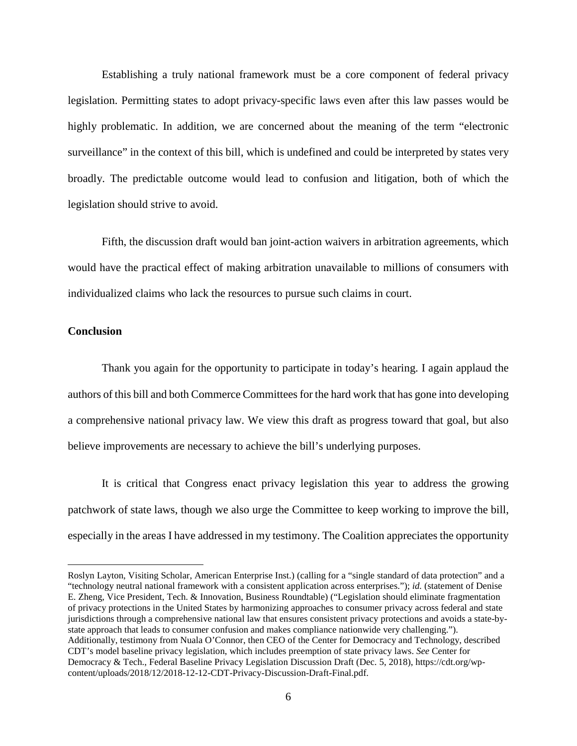Establishing a truly national framework must be a core component of federal privacy legislation. Permitting states to adopt privacy-specific laws even after this law passes would be highly problematic. In addition, we are concerned about the meaning of the term "electronic surveillance" in the context of this bill, which is undefined and could be interpreted by states very broadly. The predictable outcome would lead to confusion and litigation, both of which the legislation should strive to avoid.

Fifth, the discussion draft would ban joint-action waivers in arbitration agreements, which would have the practical effect of making arbitration unavailable to millions of consumers with individualized claims who lack the resources to pursue such claims in court.

# **Conclusion**

Thank you again for the opportunity to participate in today's hearing. I again applaud the authors of this bill and both Commerce Committees for the hard work that has gone into developing a comprehensive national privacy law. We view this draft as progress toward that goal, but also believe improvements are necessary to achieve the bill's underlying purposes.

It is critical that Congress enact privacy legislation this year to address the growing patchwork of state laws, though we also urge the Committee to keep working to improve the bill, especially in the areas I have addressed in my testimony. The Coalition appreciates the opportunity

Roslyn Layton, Visiting Scholar, American Enterprise Inst.) (calling for a "single standard of data protection" and a "technology neutral national framework with a consistent application across enterprises."); *id.* (statement of Denise E. Zheng, Vice President, Tech. & Innovation, Business Roundtable) ("Legislation should eliminate fragmentation of privacy protections in the United States by harmonizing approaches to consumer privacy across federal and state jurisdictions through a comprehensive national law that ensures consistent privacy protections and avoids a state-bystate approach that leads to consumer confusion and makes compliance nationwide very challenging."). Additionally, testimony from Nuala O'Connor, then CEO of the Center for Democracy and Technology, described CDT's model baseline privacy legislation, which includes preemption of state privacy laws. *See* Center for Democracy & Tech., Federal Baseline Privacy Legislation Discussion Draft (Dec. 5, 2018), https://cdt.org/wpcontent/uploads/2018/12/2018-12-12-CDT-Privacy-Discussion-Draft-Final.pdf.